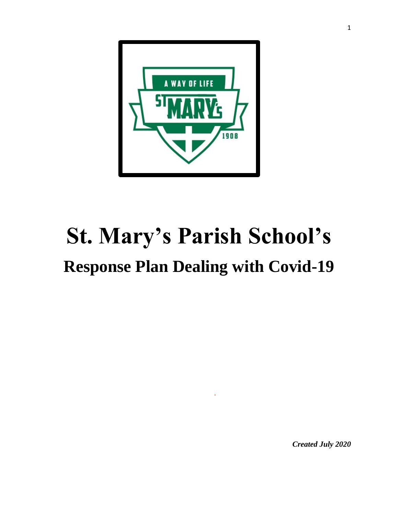

# **St. Mary's Parish School's Response Plan Dealing with Covid-19**

*Created July 2020*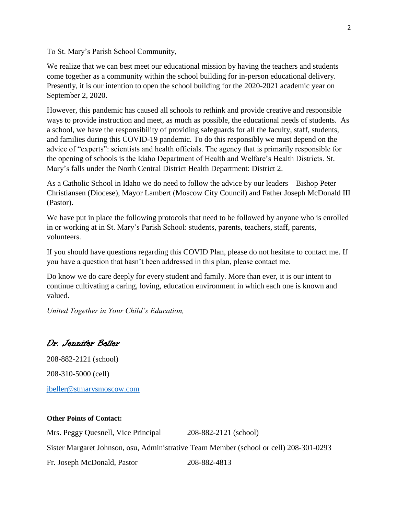To St. Mary's Parish School Community,

We realize that we can best meet our educational mission by having the teachers and students come together as a community within the school building for in-person educational delivery. Presently, it is our intention to open the school building for the 2020-2021 academic year on September 2, 2020.

However, this pandemic has caused all schools to rethink and provide creative and responsible ways to provide instruction and meet, as much as possible, the educational needs of students. As a school, we have the responsibility of providing safeguards for all the faculty, staff, students, and families during this COVID-19 pandemic. To do this responsibly we must depend on the advice of "experts": scientists and health officials. The agency that is primarily responsible for the opening of schools is the Idaho Department of Health and Welfare's Health Districts. St. Mary's falls under the North Central District Health Department: District 2.

As a Catholic School in Idaho we do need to follow the advice by our leaders—Bishop Peter Christiansen (Diocese), Mayor Lambert (Moscow City Council) and Father Joseph McDonald III (Pastor).

We have put in place the following protocols that need to be followed by anyone who is enrolled in or working at in St. Mary's Parish School: students, parents, teachers, staff, parents, volunteers.

If you should have questions regarding this COVID Plan, please do not hesitate to contact me. If you have a question that hasn't been addressed in this plan, please contact me.

Do know we do care deeply for every student and family. More than ever, it is our intent to continue cultivating a caring, loving, education environment in which each one is known and valued.

*United Together in Your Child's Education,*

Dr. Jennifer Beller

208-882-2121 (school) 208-310-5000 (cell) [jbeller@stmarysmoscow.com](mailto:jbeller@stmarysmoscow.com)

## **Other Points of Contact:**

Mrs. Peggy Quesnell, Vice Principal 208-882-2121 (school) Sister Margaret Johnson, osu, Administrative Team Member (school or cell) 208-301-0293 Fr. Joseph McDonald, Pastor 208-882-4813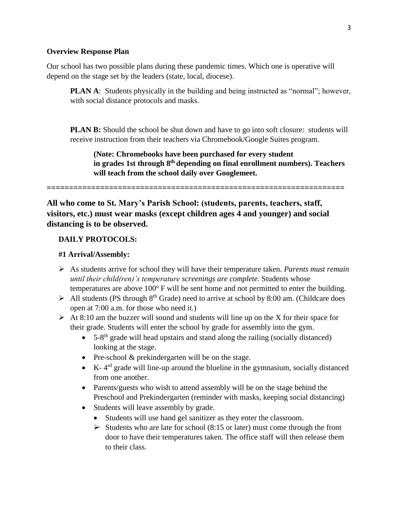#### **Overview Response Plan**

Our school has two possible plans during these pandemic times. Which one is operative will depend on the stage set by the leaders (state, local, diocese).

**PLAN A:** Students physically in the building and being instructed as "normal"; however, with social distance protocols and masks.

**PLAN B:** Should the school be shut down and have to go into soft closure: students will receive instruction from their teachers via Chromebook/Google Suites program.

**(Note: Chromebooks have been purchased for every student in grades 1st through 8th depending on final enrollment numbers). Teachers will teach from the school daily over Googlemeet.**

**===================================================================**

**All who come to St. Mary's Parish School: (students, parents, teachers, staff, visitors, etc.) must wear masks (except children ages 4 and younger) and social distancing is to be observed.** 

## **DAILY PROTOCOLS:**

#### **#1 Arrival/Assembly:**

- ➢ As students arrive for school they will have their temperature taken. *Parents must remain until their child(ren)'s temperature screenings are complete.* Students whose temperatures are above  $100^{\circ}$  F will be sent home and not permitted to enter the building.
- $\triangleright$  All students (PS through 8<sup>th</sup> Grade) need to arrive at school by 8:00 am. (Childcare does open at 7:00 a.m. for those who need it.)
- $\triangleright$  At 8:10 am the buzzer will sound and students will line up on the X for their space for their grade. Students will enter the school by grade for assembly into the gym.
	- $\bullet$  5-8<sup>th</sup> grade will head upstairs and stand along the railing (socially distanced) looking at the stage.
	- Pre-school & prekindergarten will be on the stage.
	- $\bullet$  K-4<sup>rd</sup> grade will line-up around the blueline in the gymnasium, socially distanced from one another.
	- Parents/guests who wish to attend assembly will be on the stage behind the Preschool and Prekindergarten (reminder with masks, keeping social distancing)
	- Students will leave assembly by grade.
		- Students will use hand gel sanitizer as they enter the classroom.
		- $\rightarrow$  Students who are late for school (8:15 or later) must come through the front door to have their temperatures taken. The office staff will then release them to their class.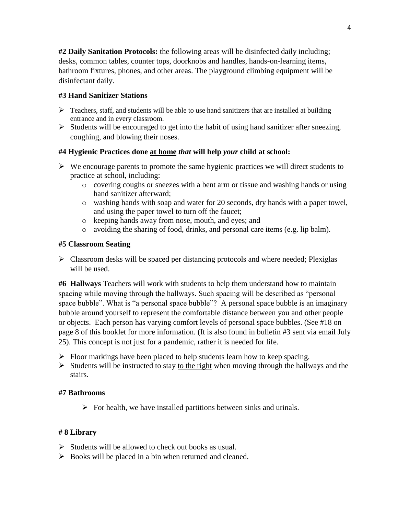**#2 Daily Sanitation Protocols:** the following areas will be disinfected daily including; desks, common tables, counter tops, doorknobs and handles, hands-on-learning items, bathroom fixtures, phones, and other areas. The playground climbing equipment will be disinfectant daily.

# **#3 Hand Sanitizer Stations**

- $\triangleright$  Teachers, staff, and students will be able to use hand sanitizers that are installed at building entrance and in every classroom.
- ➢ Students will be encouraged to get into the habit of using hand sanitizer after sneezing, coughing, and blowing their noses.

## **#4 Hygienic Practices done at home** *that* **will help** *your* **child at school:**

- $\triangleright$  We encourage parents to promote the same hygienic practices we will direct students to practice at school, including:
	- o covering coughs or sneezes with a bent arm or tissue and washing hands or using hand sanitizer afterward;
	- o washing hands with soap and water for 20 seconds, dry hands with a paper towel, and using the paper towel to turn off the faucet;
	- o keeping hands away from nose, mouth, and eyes; and
	- o avoiding the sharing of food, drinks, and personal care items (e.g. lip balm).

## **#5 Classroom Seating**

 $\triangleright$  Classroom desks will be spaced per distancing protocols and where needed; Plexiglas will be used.

**#6 Hallways** Teachers will work with students to help them understand how to maintain spacing while moving through the hallways. Such spacing will be described as "personal space bubble". What is "a personal space bubble"? A personal space bubble is an imaginary bubble around yourself to represent the comfortable distance between you and other people or objects. Each person has varying comfort levels of personal space bubbles. (See #18 on page 8 of this booklet for more information. (It is also found in bulletin #3 sent via email July 25). This concept is not just for a pandemic, rather it is needed for life.

- $\triangleright$  Floor markings have been placed to help students learn how to keep spacing.
- ➢ Students will be instructed to stay to the right when moving through the hallways and the stairs.

# **#7 Bathrooms**

 $\triangleright$  For health, we have installed partitions between sinks and urinals.

# **# 8 Library**

- ➢ Students will be allowed to check out books as usual.
- ➢ Books will be placed in a bin when returned and cleaned.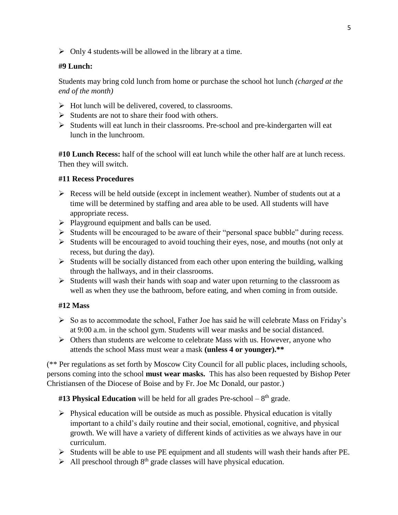$\triangleright$  Only 4 students-will be allowed in the library at a time.

# **#9 Lunch:**

Students may bring cold lunch from home or purchase the school hot lunch *(charged at the end of the month)*

- $\triangleright$  Hot lunch will be delivered, covered, to classrooms.
- $\triangleright$  Students are not to share their food with others.
- ➢ Students will eat lunch in their classrooms. Pre-school and pre-kindergarten will eat lunch in the lunchroom.

**#10 Lunch Recess:** half of the school will eat lunch while the other half are at lunch recess. Then they will switch.

## **#11 Recess Procedures**

- $\triangleright$  Recess will be held outside (except in inclement weather). Number of students out at a time will be determined by staffing and area able to be used. All students will have appropriate recess.
- ➢ Playground equipment and balls can be used.
- ➢ Students will be encouraged to be aware of their "personal space bubble" during recess.
- ➢ Students will be encouraged to avoid touching their eyes, nose, and mouths (not only at recess, but during the day).
- ➢ Students will be socially distanced from each other upon entering the building, walking through the hallways, and in their classrooms.
- ➢ Students will wash their hands with soap and water upon returning to the classroom as well as when they use the bathroom, before eating, and when coming in from outside.

# **#12 Mass**

- $\triangleright$  So as to accommodate the school, Father Joe has said he will celebrate Mass on Friday's at 9:00 a.m. in the school gym. Students will wear masks and be social distanced.
- ➢ Others than students are welcome to celebrate Mass with us. However, anyone who attends the school Mass must wear a mask **(unless 4 or younger).\*\***

(\*\* Per regulations as set forth by Moscow City Council for all public places, including schools, persons coming into the school **must wear masks.** This has also been requested by Bishop Peter Christiansen of the Diocese of Boise and by Fr. Joe Mc Donald, our pastor.)

#13 Physical Education will be held for all grades Pre-school – 8<sup>th</sup> grade.

- $\triangleright$  Physical education will be outside as much as possible. Physical education is vitally important to a child's daily routine and their social, emotional, cognitive, and physical growth. We will have a variety of different kinds of activities as we always have in our curriculum.
- ➢ Students will be able to use PE equipment and all students will wash their hands after PE.
- $\triangleright$  All preschool through  $8<sup>th</sup>$  grade classes will have physical education.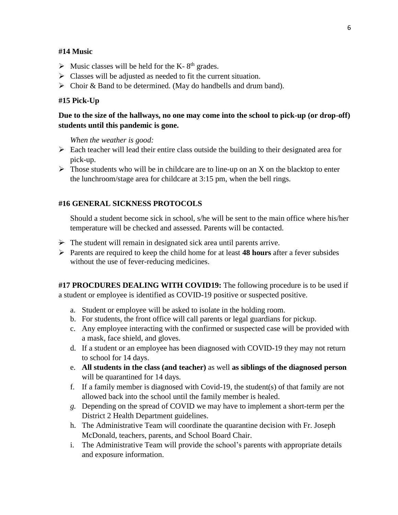#### **#14 Music**

- $\triangleright$  Music classes will be held for the K-8<sup>th</sup> grades.
- ➢ Classes will be adjusted as needed to fit the current situation.
- ➢ Choir & Band to be determined. (May do handbells and drum band).

#### **#15 Pick-Up**

# **Due to the size of the hallways, no one may come into the school to pick-up (or drop-off) students until this pandemic is gone.**

*When the weather is good:*

- $\triangleright$  Each teacher will lead their entire class outside the building to their designated area for pick-up.
- $\triangleright$  Those students who will be in childcare are to line-up on an X on the blacktop to enter the lunchroom/stage area for childcare at 3:15 pm, when the bell rings.

#### **#16 GENERAL SICKNESS PROTOCOLS**

Should a student become sick in school, s/he will be sent to the main office where his/her temperature will be checked and assessed. Parents will be contacted.

- $\rightarrow$  The student will remain in designated sick area until parents arrive.
- ➢ Parents are required to keep the child home for at least **48 hours** after a fever subsides without the use of fever-reducing medicines.

**#17 PROCDURES DEALING WITH COVID19:** The following procedure is to be used if a student or employee is identified as COVID-19 positive or suspected positive.

- a. Student or employee will be asked to isolate in the holding room.
- b. For students, the front office will call parents or legal guardians for pickup.
- c. Any employee interacting with the confirmed or suspected case will be provided with a mask, face shield, and gloves.
- d. If a student or an employee has been diagnosed with COVID-19 they may not return to school for 14 days.
- e. **All students in the class (and teacher)** as well **as siblings of the diagnosed person**  will be quarantined for 14 days.
- f. If a family member is diagnosed with Covid-19, the student(s) of that family are not allowed back into the school until the family member is healed.
- *g.* Depending on the spread of COVID we may have to implement a short-term per the District 2 Health Department guidelines.
- h. The Administrative Team will coordinate the quarantine decision with Fr. Joseph McDonald, teachers, parents, and School Board Chair.
- i. The Administrative Team will provide the school's parents with appropriate details and exposure information.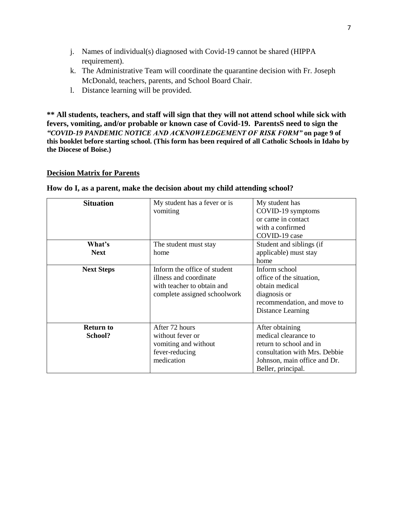- j. Names of individual(s) diagnosed with Covid-19 cannot be shared (HIPPA requirement).
- k. The Administrative Team will coordinate the quarantine decision with Fr. Joseph McDonald, teachers, parents, and School Board Chair.
- l. Distance learning will be provided.

**\*\* All students, teachers, and staff will sign that they will not attend school while sick with fevers, vomiting, and/or probable or known case of Covid-19. ParentsS need to sign the**  *"COVID-19 PANDEMIC NOTICE AND ACKNOWLEDGEMENT OF RISK FORM"* **on page 9 of this booklet before starting school. (This form has been required of all Catholic Schools in Idaho by the Diocese of Boise.)**

#### **Decision Matrix for Parents**

| <b>Situation</b>  | My student has a fever or is | My student has                |
|-------------------|------------------------------|-------------------------------|
|                   | vomiting                     | COVID-19 symptoms             |
|                   |                              | or came in contact            |
|                   |                              | with a confirmed              |
|                   |                              | COVID-19 case                 |
| What's            | The student must stay        | Student and siblings (if      |
| <b>Next</b>       | home                         | applicable) must stay         |
|                   |                              | home                          |
| <b>Next Steps</b> | Inform the office of student | Inform school                 |
|                   | illness and coordinate       | office of the situation,      |
|                   | with teacher to obtain and   | obtain medical                |
|                   | complete assigned schoolwork | diagnosis or                  |
|                   |                              | recommendation, and move to   |
|                   |                              | Distance Learning             |
|                   |                              |                               |
| <b>Return to</b>  | After 72 hours               | After obtaining               |
| School?           | without fever or             | medical clearance to          |
|                   | vomiting and without         | return to school and in       |
|                   | fever-reducing               | consultation with Mrs. Debbie |
|                   | medication                   | Johnson, main office and Dr.  |
|                   |                              | Beller, principal.            |

#### **How do I, as a parent, make the decision about my child attending school?**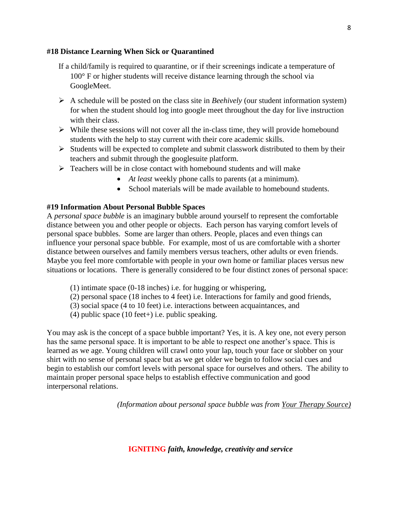## **#18 Distance Learning When Sick or Quarantined**

- If a child/family is required to quarantine, or if their screenings indicate a temperature of 100° F or higher students will receive distance learning through the school via GoogleMeet.
- ➢ A schedule will be posted on the class site in *Beehively* (our student information system) for when the student should log into google meet throughout the day for live instruction with their class.
- $\triangleright$  While these sessions will not cover all the in-class time, they will provide homebound students with the help to stay current with their core academic skills.
- ➢ Students will be expected to complete and submit classwork distributed to them by their teachers and submit through the googlesuite platform.
- ➢ Teachers will be in close contact with homebound students and will make
	- *At least* weekly phone calls to parents (at a minimum).
	- School materials will be made available to homebound students.

## **#19 Information About Personal Bubble Spaces**

A *personal space bubble* is an imaginary bubble around yourself to represent the comfortable distance between you and other people or objects. Each person has varying comfort levels of personal space bubbles. Some are larger than others. People, places and even things can influence your personal space bubble. For example, most of us are comfortable with a shorter distance between ourselves and family members versus teachers, other adults or even friends. Maybe you feel more comfortable with people in your own home or familiar places versus new situations or locations. There is generally considered to be four distinct zones of personal space:

- (1) intimate space (0-18 inches) i.e. for hugging or whispering,
- (2) personal space (18 inches to 4 feet) i.e. Interactions for family and good friends,
- (3) social space (4 to 10 feet) i.e. interactions between acquaintances, and
- (4) public space (10 feet+) i.e. public speaking.

You may ask is the concept of a space bubble important? Yes, it is. A key one, not every person has the same personal space. It is important to be able to respect one another's space. This is learned as we age. Young children will crawl onto your lap, touch your face or slobber on your shirt with no sense of personal space but as we get older we begin to follow social cues and begin to establish our comfort levels with personal space for ourselves and others. The ability to maintain proper personal space helps to establish effective communication and good interpersonal relations.

*(Information about personal space bubble was from Your Therapy Source)*

**IGNITING** *faith, knowledge, creativity and service*